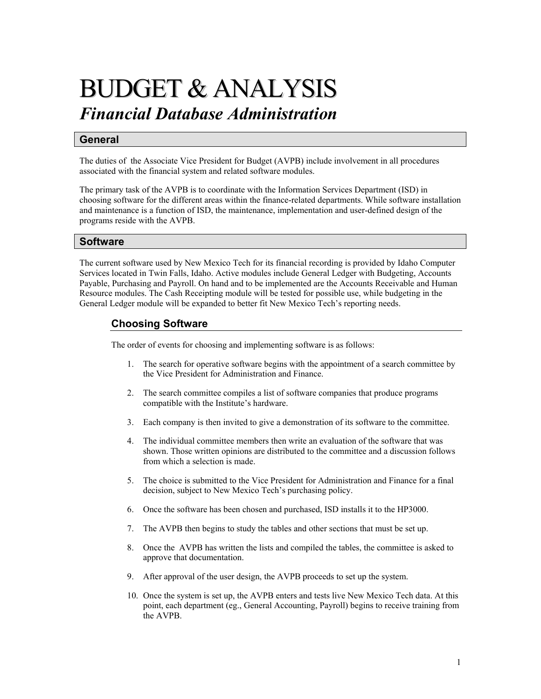# BUDGET & ANALYSIS *Financial Database Administration*

# **General**

The duties of the Associate Vice President for Budget (AVPB) include involvement in all procedures associated with the financial system and related software modules.

The primary task of the AVPB is to coordinate with the Information Services Department (ISD) in choosing software for the different areas within the finance-related departments. While software installation and maintenance is a function of ISD, the maintenance, implementation and user-defined design of the programs reside with the AVPB.

## **Software**

The current software used by New Mexico Tech for its financial recording is provided by Idaho Computer Services located in Twin Falls, Idaho. Active modules include General Ledger with Budgeting, Accounts Payable, Purchasing and Payroll. On hand and to be implemented are the Accounts Receivable and Human Resource modules. The Cash Receipting module will be tested for possible use, while budgeting in the General Ledger module will be expanded to better fit New Mexico Tech's reporting needs.

# **Choosing Software**

The order of events for choosing and implementing software is as follows:

- 1. The search for operative software begins with the appointment of a search committee by the Vice President for Administration and Finance.
- 2. The search committee compiles a list of software companies that produce programs compatible with the Institute's hardware.
- 3. Each company is then invited to give a demonstration of its software to the committee.
- 4. The individual committee members then write an evaluation of the software that was shown. Those written opinions are distributed to the committee and a discussion follows from which a selection is made.
- 5. The choice is submitted to the Vice President for Administration and Finance for a final decision, subject to New Mexico Tech's purchasing policy.
- 6. Once the software has been chosen and purchased, ISD installs it to the HP3000.
- 7. The AVPB then begins to study the tables and other sections that must be set up.
- 8. Once the AVPB has written the lists and compiled the tables, the committee is asked to approve that documentation.
- 9. After approval of the user design, the AVPB proceeds to set up the system.
- 10. Once the system is set up, the AVPB enters and tests live New Mexico Tech data. At this point, each department (eg., General Accounting, Payroll) begins to receive training from the AVPB.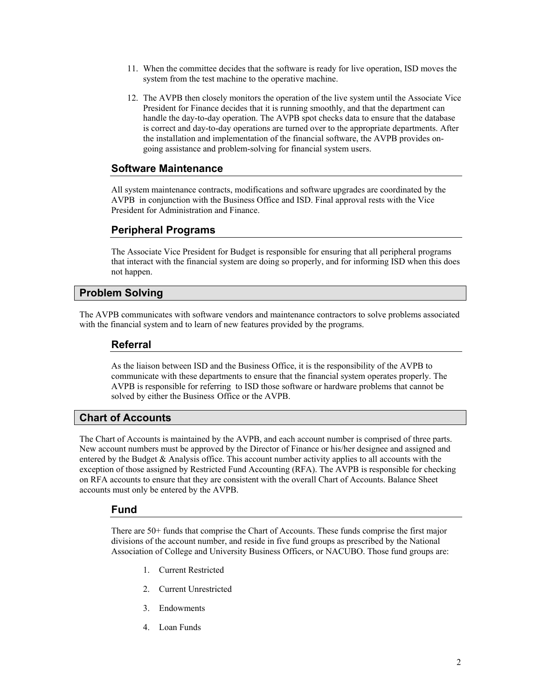- 11. When the committee decides that the software is ready for live operation, ISD moves the system from the test machine to the operative machine.
- 12. The AVPB then closely monitors the operation of the live system until the Associate Vice President for Finance decides that it is running smoothly, and that the department can handle the day-to-day operation. The AVPB spot checks data to ensure that the database is correct and day-to-day operations are turned over to the appropriate departments. After the installation and implementation of the financial software, the AVPB provides ongoing assistance and problem-solving for financial system users.

# **Software Maintenance**

All system maintenance contracts, modifications and software upgrades are coordinated by the AVPB in conjunction with the Business Office and ISD. Final approval rests with the Vice President for Administration and Finance.

# **Peripheral Programs**

The Associate Vice President for Budget is responsible for ensuring that all peripheral programs that interact with the financial system are doing so properly, and for informing ISD when this does not happen.

## **Problem Solving**

The AVPB communicates with software vendors and maintenance contractors to solve problems associated with the financial system and to learn of new features provided by the programs.

## **Referral**

As the liaison between ISD and the Business Office, it is the responsibility of the AVPB to communicate with these departments to ensure that the financial system operates properly. The AVPB is responsible for referring to ISD those software or hardware problems that cannot be solved by either the Business Office or the AVPB.

# **Chart of Accounts**

The Chart of Accounts is maintained by the AVPB, and each account number is comprised of three parts. New account numbers must be approved by the Director of Finance or his/her designee and assigned and entered by the Budget  $\&$  Analysis office. This account number activity applies to all accounts with the exception of those assigned by Restricted Fund Accounting (RFA). The AVPB is responsible for checking on RFA accounts to ensure that they are consistent with the overall Chart of Accounts. Balance Sheet accounts must only be entered by the AVPB.

## **Fund**

There are 50+ funds that comprise the Chart of Accounts. These funds comprise the first major divisions of the account number, and reside in five fund groups as prescribed by the National Association of College and University Business Officers, or NACUBO. Those fund groups are:

- 1. Current Restricted
- 2. Current Unrestricted
- 3. Endowments
- 4. Loan Funds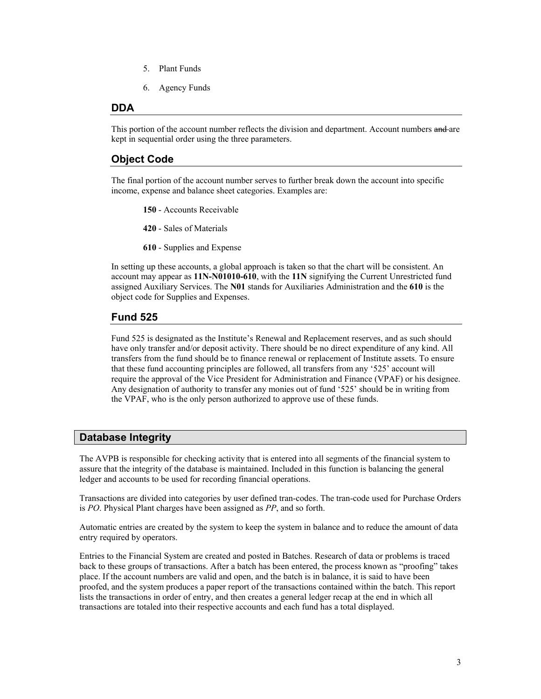- 5. Plant Funds
- 6. Agency Funds

#### **DDA**

This portion of the account number reflects the division and department. Account numbers and are kept in sequential order using the three parameters.

# **Object Code**

The final portion of the account number serves to further break down the account into specific income, expense and balance sheet categories. Examples are:

**150** - Accounts Receivable

**420** - Sales of Materials

**610** - Supplies and Expense

In setting up these accounts, a global approach is taken so that the chart will be consistent. An account may appear as **11N-N01010-610**, with the **11N** signifying the Current Unrestricted fund assigned Auxiliary Services. The **N01** stands for Auxiliaries Administration and the **610** is the object code for Supplies and Expenses.

#### **Fund 525**

Fund 525 is designated as the Institute's Renewal and Replacement reserves, and as such should have only transfer and/or deposit activity. There should be no direct expenditure of any kind. All transfers from the fund should be to finance renewal or replacement of Institute assets. To ensure that these fund accounting principles are followed, all transfers from any '525' account will require the approval of the Vice President for Administration and Finance (VPAF) or his designee. Any designation of authority to transfer any monies out of fund '525' should be in writing from the VPAF, who is the only person authorized to approve use of these funds.

## **Database Integrity**

The AVPB is responsible for checking activity that is entered into all segments of the financial system to assure that the integrity of the database is maintained. Included in this function is balancing the general ledger and accounts to be used for recording financial operations.

Transactions are divided into categories by user defined tran-codes. The tran-code used for Purchase Orders is *PO*. Physical Plant charges have been assigned as *PP*, and so forth.

Automatic entries are created by the system to keep the system in balance and to reduce the amount of data entry required by operators.

Entries to the Financial System are created and posted in Batches. Research of data or problems is traced back to these groups of transactions. After a batch has been entered, the process known as "proofing" takes place. If the account numbers are valid and open, and the batch is in balance, it is said to have been proofed, and the system produces a paper report of the transactions contained within the batch. This report lists the transactions in order of entry, and then creates a general ledger recap at the end in which all transactions are totaled into their respective accounts and each fund has a total displayed.